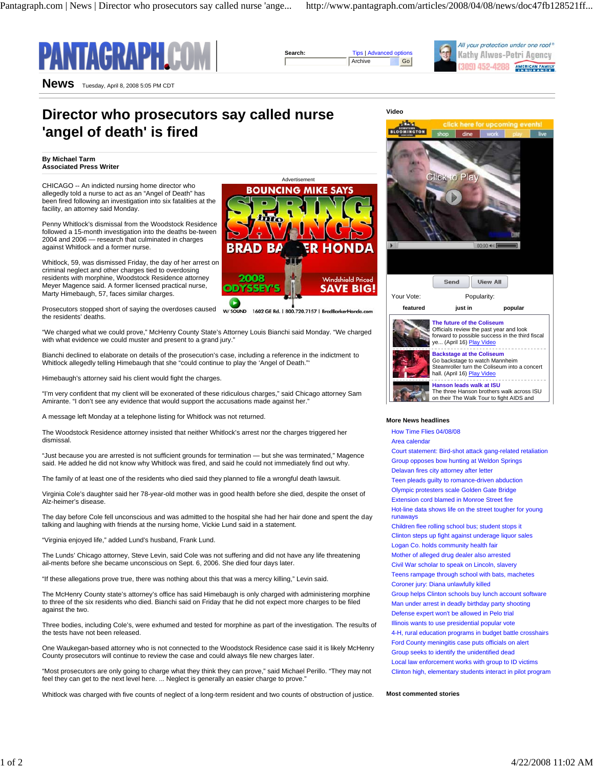



Advertisement

**BOUNCING MIKE SAYS** 

1602 GE Rd. | 800.720.7157 | BradBark

**Windshield Priced** 

**SAVE BIG!** 

**B** D

າດດະ

W/ SOUND

SSE





Kathy Alwes-Petri Agency 309) 452-4288 AMERICAN FAMILY

**News** Tuesday, April 8, 2008 5:05 PM CDT

# **Director who prosecutors say called nurse 'angel of death' is fired**

**By Michael Tarm Associated Press Writer**

CHICAGO -- An indicted nursing home director who allegedly told a nurse to act as an "Angel of Death" has been fired following an investigation into six fatalities at the facility, an attorney said Monday.

Penny Whitlock's dismissal from the Woodstock Residence followed a 15-month investigation into the deaths be-tween 2004 and 2006 — research that culminated in charges against Whitlock and a former nurse.

Whitlock, 59, was dismissed Friday, the day of her arrest on criminal neglect and other charges tied to overdosing residents with morphine, Woodstock Residence attorney Meyer Magence said. A former licensed practical nurse, Marty Himebaugh, 57, faces similar charges.

Prosecutors stopped short of saying the overdoses caused the residents' deaths.

"We charged what we could prove," McHenry County State's Attorney Louis Bianchi said Monday. "We charged with what evidence we could muster and present to a grand jury."

Bianchi declined to elaborate on details of the prosecution's case, including a reference in the indictment to Whitlock allegedly telling Himebaugh that she "could continue to play the 'Angel of Death."'

Himebaugh's attorney said his client would fight the charges.

"I'm very confident that my client will be exonerated of these ridiculous charges," said Chicago attorney Sam Amirante. "I don't see any evidence that would support the accusations made against her."

A message left Monday at a telephone listing for Whitlock was not returned.

The Woodstock Residence attorney insisted that neither Whitlock's arrest nor the charges triggered her dismissal.

"Just because you are arrested is not sufficient grounds for termination — but she was terminated," Magence said. He added he did not know why Whitlock was fired, and said he could not immediately find out why.

The family of at least one of the residents who died said they planned to file a wrongful death lawsuit.

Virginia Cole's daughter said her 78-year-old mother was in good health before she died, despite the onset of Alz-heimer's disease.

The day before Cole fell unconscious and was admitted to the hospital she had her hair done and spent the day talking and laughing with friends at the nursing home, Vickie Lund said in a statement.

"Virginia enjoyed life," added Lund's husband, Frank Lund.

The Lunds' Chicago attorney, Steve Levin, said Cole was not suffering and did not have any life threatening ail-ments before she became unconscious on Sept. 6, 2006. She died four days later.

"If these allegations prove true, there was nothing about this that was a mercy killing," Levin said.

The McHenry County state's attorney's office has said Himebaugh is only charged with administering morphine to three of the six residents who died. Bianchi said on Friday that he did not expect more charges to be filed against the two.

Three bodies, including Cole's, were exhumed and tested for morphine as part of the investigation. The results of the tests have not been released.

One Waukegan-based attorney who is not connected to the Woodstock Residence case said it is likely McHenry County prosecutors will continue to review the case and could always file new charges later.

"Most prosecutors are only going to charge what they think they can prove," said Michael Perillo. "They may not feel they can get to the next level here. ... Neglect is generally an easier charge to prove."

Whitlock was charged with five counts of neglect of a long-term resident and two counts of obstruction of justice.



## **More News headlines**

How Time Flies 04/08/08

Area calendar

Court statement: Bird-shot attack gang-related retaliation Group opposes bow hunting at Weldon Springs

Delavan fires city attorney after letter

Teen pleads guilty to romance-driven abduction

Olympic protesters scale Golden Gate Bridge

Extension cord blamed in Monroe Street fire Hot-line data shows life on the street tougher for young runaways

Children flee rolling school bus; student stops it Clinton steps up fight against underage liquor sales Logan Co. holds community health fair

Mother of alleged drug dealer also arrested

Civil War scholar to speak on Lincoln, slavery

Teens rampage through school with bats, machetes

Coroner jury: Diana unlawfully killed

Group helps Clinton schools buy lunch account software Man under arrest in deadly birthday party shooting

Defense expert won't be allowed in Pelo trial

Illinois wants to use presidential popular vote 4-H, rural education programs in budget battle crosshairs Ford County meningitis case puts officials on alert Group seeks to identify the unidentified dead

Local law enforcement works with group to ID victims Clinton high, elementary students interact in pilot program

#### **Most commented stories**